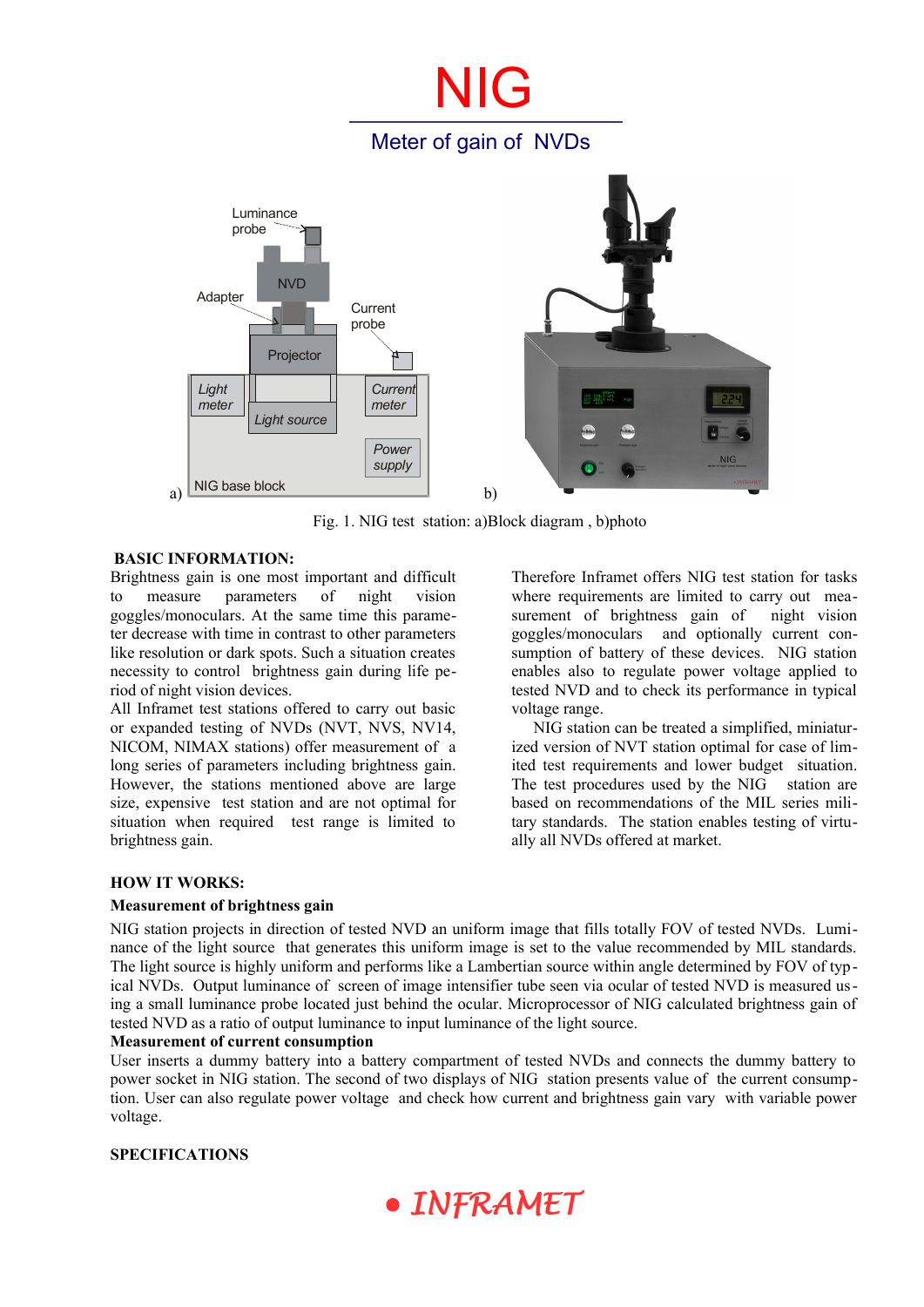# NIG Meter of gain of NVDs a) *Light meter Current meter*  **Current** probe NIG base block Adapter **NVD** Luminance probe *Power supply Light source* Projector b)

Fig. 1. NIG test station: a)Block diagram , b)photo

# **BASIC INFORMATION:**

Brightness gain is one most important and difficult to measure parameters of night vision goggles/monoculars. At the same time this parameter decrease with time in contrast to other parameters like resolution or dark spots. Such a situation creates necessity to control brightness gain during life period of night vision devices.

All Inframet test stations offered to carry out basic or expanded testing of NVDs (NVT, NVS, NV14, NICOM, NIMAX stations) offer measurement of a long series of parameters including brightness gain. However, the stations mentioned above are large size, expensive test station and are not optimal for situation when required test range is limited to brightness gain.

Therefore Inframet offers NIG test station for tasks where requirements are limited to carry out measurement of brightness gain of night vision goggles/monoculars and optionally current consumption of battery of these devices. NIG station enables also to regulate power voltage applied to tested NVD and to check its performance in typical voltage range.

NIG station can be treated a simplified, miniaturized version of NVT station optimal for case of limited test requirements and lower budget situation. The test procedures used by the NIG station are based on recommendations of the MIL series military standards. The station enables testing of virtually all NVDs offered at market.

## **HOW IT WORKS:**

## **Measurement of brightness gain**

NIG station projects in direction of tested NVD an uniform image that fills totally FOV of tested NVDs. Luminance of the light source that generates this uniform image is set to the value recommended by MIL standards. The light source is highly uniform and performs like a Lambertian source within angle determined by FOV of typical NVDs. Output luminance of screen of image intensifier tube seen via ocular of tested NVD is measured using a small luminance probe located just behind the ocular. Microprocessor of NIG calculated brightness gain of tested NVD as a ratio of output luminance to input luminance of the light source.

#### **Measurement of current consumption**

User inserts a dummy battery into a battery compartment of tested NVDs and connects the dummy battery to power socket in NIG station. The second of two displays of NIG station presents value of the current consumption. User can also regulate power voltage and check how current and brightness gain vary with variable power voltage.

#### **SPECIFICATIONS**